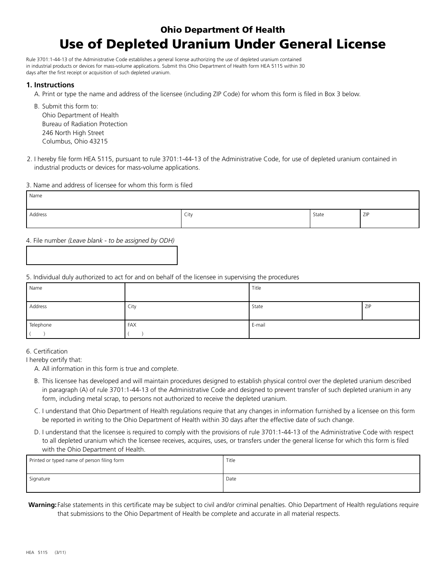# Ohio Department Of Health Use of Depleted Uranium Under General License

Rule 3701:1-44-13 of the Administrative Code establishes a general license authorizing the use of depleted uranium contained in industrial products or devices for mass-volume applications. Submit this Ohio Department of Health form HEA 5115 within 30 days after the first receipt or acquisition of such depleted uranium.

# **1. Instructions**

A. Print or type the name and address of the licensee (including ZIP Code) for whom this form is filed in Box 3 below.

B. Submit this form to: Ohio Department of Health Bureau of Radiation Protection 246 North High Street Columbus, Ohio 43215

2. I hereby file form HEA 5115, pursuant to rule 3701:1-44-13 of the Administrative Code, for use of depleted uranium contained in industrial products or devices for mass-volume applications.

#### 3. Name and address of licensee for whom this form is filed

| Name    |             |       |     |
|---------|-------------|-------|-----|
| Address | City<br>- - | State | ZIP |

4. File number *(Leave blank - to be assigned by ODH)*

### 5. Individual duly authorized to act for and on behalf of the licensee in supervising the procedures

| Name      |      | Title  |     |
|-----------|------|--------|-----|
| Address   | City | State  | ZIP |
| Telephone | FAX  | E-mail |     |

### 6. Certification

I hereby certify that:

A. All information in this form is true and complete.

- B. This licensee has developed and will maintain procedures designed to establish physical control over the depleted uranium described in paragraph (A) of rule 3701:1-44-13 of the Administrative Code and designed to prevent transfer of such depleted uranium in any form, including metal scrap, to persons not authorized to receive the depleted uranium.
- C. I understand that Ohio Department of Health regulations require that any changes in information furnished by a licensee on this form be reported in writing to the Ohio Department of Health within 30 days after the effective date of such change.
- D. I understand that the licensee is required to comply with the provisions of rule 3701:1-44-13 of the Administrative Code with respect to all depleted uranium which the licensee receives, acquires, uses, or transfers under the general license for which this form is filed with the Ohio Department of Health.

| Printed or typed name of person filing form | Title |
|---------------------------------------------|-------|
| Signature                                   | Date  |

**Warning:** False statements in this certificate may be subject to civil and/or criminal penalties. Ohio Department of Health regulations require that submissions to the Ohio Department of Health be complete and accurate in all material respects.